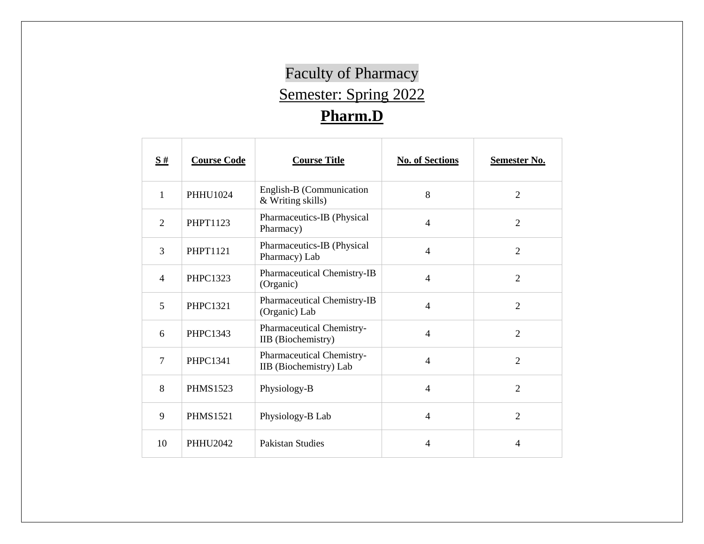## Faculty of Pharmacy Semester: Spring 2022 **Pharm.D**

| $\underline{\mathbf{S}}$ # | <b>Course Code</b> | <b>Course Title</b>                                    | <b>No. of Sections</b> | <b>Semester No.</b> |
|----------------------------|--------------------|--------------------------------------------------------|------------------------|---------------------|
| $\mathbf{1}$               | <b>PHHU1024</b>    | English-B (Communication<br>& Writing skills)          | 8                      | $\overline{2}$      |
| $\overline{2}$             | <b>PHPT1123</b>    | Pharmaceutics-IB (Physical<br>Pharmacy)                | $\overline{4}$         | $\overline{2}$      |
| 3                          | <b>PHPT1121</b>    | Pharmaceutics-IB (Physical<br>Pharmacy) Lab            | $\overline{4}$         | $\overline{2}$      |
| $\overline{4}$             | <b>PHPC1323</b>    | Pharmaceutical Chemistry-IB<br>(Organic)               | $\overline{4}$         | $\overline{2}$      |
| 5                          | <b>PHPC1321</b>    | Pharmaceutical Chemistry-IB<br>(Organic) Lab           | $\overline{4}$         | $\overline{2}$      |
| 6                          | PHPC1343           | Pharmaceutical Chemistry-<br><b>IIB</b> (Biochemistry) | $\overline{4}$         | $\overline{2}$      |
| $\overline{7}$             | <b>PHPC1341</b>    | Pharmaceutical Chemistry-<br>IIB (Biochemistry) Lab    | $\overline{4}$         | $\overline{2}$      |
| 8                          | <b>PHMS1523</b>    | Physiology-B                                           | $\overline{4}$         | $\overline{2}$      |
| 9                          | <b>PHMS1521</b>    | Physiology-B Lab                                       | $\overline{4}$         | $\overline{2}$      |
| 10                         | <b>PHHU2042</b>    | <b>Pakistan Studies</b>                                | 4                      | $\overline{4}$      |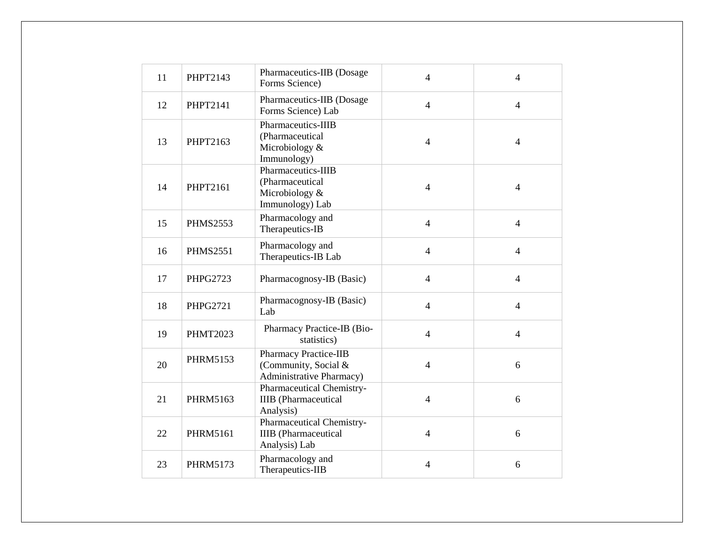| 11 | <b>PHPT2143</b> | Pharmaceutics-IIB (Dosage<br>Forms Science)                                      | $\overline{4}$ | $\overline{4}$ |
|----|-----------------|----------------------------------------------------------------------------------|----------------|----------------|
| 12 | <b>PHPT2141</b> | Pharmaceutics-IIB (Dosage<br>Forms Science) Lab                                  | $\overline{4}$ | $\overline{4}$ |
| 13 | PHPT2163        | Pharmaceutics-IIIB<br>(Pharmaceutical<br>Microbiology &<br>Immunology)           | $\overline{4}$ | $\overline{4}$ |
| 14 | <b>PHPT2161</b> | Pharmaceutics-IIIB<br>(Pharmaceutical<br>Microbiology &<br>Immunology) Lab       | $\overline{4}$ | $\overline{4}$ |
| 15 | <b>PHMS2553</b> | Pharmacology and<br>Therapeutics-IB                                              | $\overline{4}$ | $\overline{4}$ |
| 16 | <b>PHMS2551</b> | Pharmacology and<br>Therapeutics-IB Lab                                          | $\overline{4}$ | $\overline{4}$ |
| 17 | PHPG2723        | Pharmacognosy-IB (Basic)                                                         | $\overline{4}$ | $\overline{4}$ |
| 18 | <b>PHPG2721</b> | Pharmacognosy-IB (Basic)<br>Lab                                                  | $\overline{4}$ | $\overline{4}$ |
| 19 | <b>PHMT2023</b> | Pharmacy Practice-IB (Bio-<br>statistics)                                        | $\overline{4}$ | $\overline{4}$ |
| 20 | <b>PHRM5153</b> | <b>Pharmacy Practice-IIB</b><br>(Community, Social &<br>Administrative Pharmacy) | $\overline{4}$ | 6              |
| 21 | PHRM5163        | Pharmaceutical Chemistry-<br><b>IIIB</b> (Pharmaceutical<br>Analysis)            | $\overline{4}$ | 6              |
| 22 | <b>PHRM5161</b> | Pharmaceutical Chemistry-<br><b>IIIB</b> (Pharmaceutical<br>Analysis) Lab        | $\overline{4}$ | 6              |
| 23 | <b>PHRM5173</b> | Pharmacology and<br>Therapeutics-IIB                                             | $\overline{4}$ | 6              |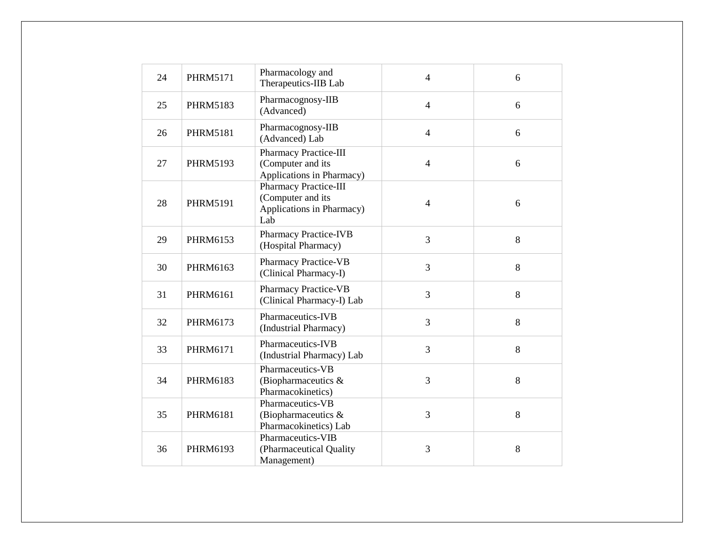| 24 | <b>PHRM5171</b> | Pharmacology and<br>Therapeutics-IIB Lab                                              | $\overline{4}$ | 6 |
|----|-----------------|---------------------------------------------------------------------------------------|----------------|---|
| 25 | <b>PHRM5183</b> | Pharmacognosy-IIB<br>(Advanced)                                                       | $\overline{4}$ | 6 |
| 26 | <b>PHRM5181</b> | Pharmacognosy-IIB<br>(Advanced) Lab                                                   | $\overline{4}$ | 6 |
| 27 | <b>PHRM5193</b> | <b>Pharmacy Practice-III</b><br>(Computer and its<br>Applications in Pharmacy)        | $\overline{4}$ | 6 |
| 28 | <b>PHRM5191</b> | <b>Pharmacy Practice-III</b><br>(Computer and its<br>Applications in Pharmacy)<br>Lab | $\overline{4}$ | 6 |
| 29 | PHRM6153        | <b>Pharmacy Practice-IVB</b><br>(Hospital Pharmacy)                                   | 3              | 8 |
| 30 | PHRM6163        | <b>Pharmacy Practice-VB</b><br>(Clinical Pharmacy-I)                                  | 3              | 8 |
| 31 | PHRM6161        | <b>Pharmacy Practice-VB</b><br>(Clinical Pharmacy-I) Lab                              | 3              | 8 |
| 32 | <b>PHRM6173</b> | Pharmaceutics-IVB<br>(Industrial Pharmacy)                                            | 3              | 8 |
| 33 | PHRM6171        | Pharmaceutics-IVB<br>(Industrial Pharmacy) Lab                                        | 3              | 8 |
| 34 | PHRM6183        | Pharmaceutics-VB<br>(Biopharmaceutics &<br>Pharmacokinetics)                          | 3              | 8 |
| 35 | <b>PHRM6181</b> | Pharmaceutics-VB<br>(Biopharmaceutics &<br>Pharmacokinetics) Lab                      | 3              | 8 |
| 36 | PHRM6193        | Pharmaceutics-VIB<br>(Pharmaceutical Quality<br>Management)                           | 3              | 8 |